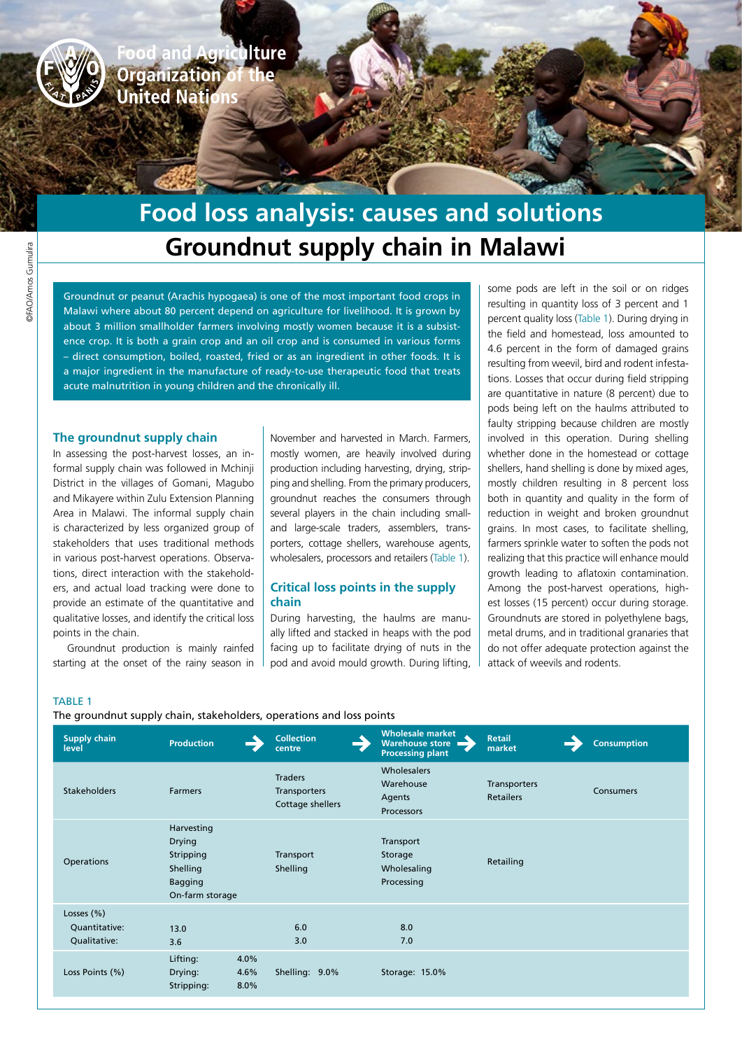**Agriculture Organization**<br>**United Nation** 

# **Groundnut supply chain in Malawi Food loss analysis: causes and solutions**

Groundnut or peanut (Arachis hypogaea) is one of the most important food crops in Malawi where about 80 percent depend on agriculture for livelihood. It is grown by about 3 million smallholder farmers involving mostly women because it is a subsistence crop. It is both a grain crop and an oil crop and is consumed in various forms – direct consumption, boiled, roasted, fried or as an ingredient in other foods. It is a major ingredient in the manufacture of ready-to-use therapeutic food that treats acute malnutrition in young children and the chronically ill.

### **The groundnut supply chain**

In assessing the post-harvest losses, an informal supply chain was followed in Mchinji District in the villages of Gomani, Magubo and Mikayere within Zulu Extension Planning Area in Malawi. The informal supply chain is characterized by less organized group of stakeholders that uses traditional methods in various post-harvest operations. Observations, direct interaction with the stakeholders, and actual load tracking were done to provide an estimate of the quantitative and qualitative losses, and identify the critical loss points in the chain.

Groundnut production is mainly rainfed starting at the onset of the rainy season in November and harvested in March. Farmers, mostly women, are heavily involved during production including harvesting, drying, stripping and shelling. From the primary producers, groundnut reaches the consumers through several players in the chain including smalland large-scale traders, assemblers, transporters, cottage shellers, warehouse agents, wholesalers, processors and retailers (Table 1).

#### **Critical loss points in the supply chain**

During harvesting, the haulms are manually lifted and stacked in heaps with the pod facing up to facilitate drying of nuts in the pod and avoid mould growth. During lifting, some pods are left in the soil or on ridges resulting in quantity loss of 3 percent and 1 percent quality loss (Table 1). During drying in the field and homestead, loss amounted to 4.6 percent in the form of damaged grains resulting from weevil, bird and rodent infestations. Losses that occur during field stripping are quantitative in nature (8 percent) due to pods being left on the haulms attributed to faulty stripping because children are mostly involved in this operation. During shelling whether done in the homestead or cottage shellers, hand shelling is done by mixed ages, mostly children resulting in 8 percent loss both in quantity and quality in the form of reduction in weight and broken groundnut grains. In most cases, to facilitate shelling, farmers sprinkle water to soften the pods not realizing that this practice will enhance mould growth leading to aflatoxin contamination. Among the post-harvest operations, highest losses (15 percent) occur during storage. Groundnuts are stored in polyethylene bags, metal drums, and in traditional granaries that do not offer adequate protection against the attack of weevils and rodents.

## TABLE 1

The groundnut supply chain, stakeholders, operations and loss points

| <b>Supply chain</b><br>level                    | <b>Production</b>                                                                         | <b>Collection</b><br>centre                               | <b>Wholesale market</b><br><b>Warehouse store</b><br><b>Processing plant</b> | <b>Retail</b><br>market          | <b>Consumption</b> |
|-------------------------------------------------|-------------------------------------------------------------------------------------------|-----------------------------------------------------------|------------------------------------------------------------------------------|----------------------------------|--------------------|
| <b>Stakeholders</b>                             | <b>Farmers</b>                                                                            | <b>Traders</b><br><b>Transporters</b><br>Cottage shellers | Wholesalers<br>Warehouse<br>Agents<br>Processors                             | Transporters<br><b>Retailers</b> | <b>Consumers</b>   |
| <b>Operations</b>                               | Harvesting<br><b>Drying</b><br>Stripping<br>Shelling<br><b>Bagging</b><br>On-farm storage | Transport<br>Shelling                                     | Transport<br>Storage<br>Wholesaling<br>Processing                            | Retailing                        |                    |
| Losses $(\% )$<br>Quantitative:<br>Qualitative: | 13.0<br>3.6                                                                               | 6.0<br>3.0                                                | 8.0<br>7.0                                                                   |                                  |                    |
| Loss Points (%)                                 | Lifting:<br>4.0%<br>4.6%<br>Drying:<br>8.0%<br>Stripping:                                 | Shelling: 9.0%                                            | Storage: 15.0%                                                               |                                  |                    |